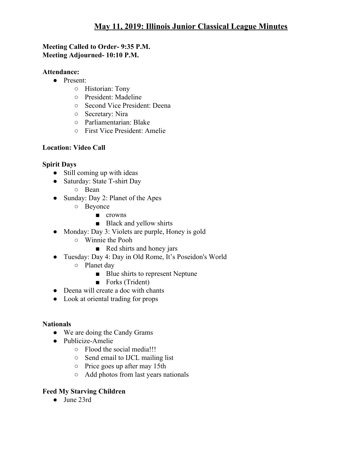### **Meeting Called to Order- 9:35 P.M. Meeting Adjourned- 10:10 P.M.**

### **Attendance:**

- Present:
	- Historian: Tony
	- President: Madeline
	- Second Vice President: Deena
	- Secretary: Nira
	- Parliamentarian: Blake
	- First Vice President: Amelie

## **Location: Video Call**

# **Spirit Days**

- Still coming up with ideas
- Saturday: State T-shirt Day
	- Bean
- Sunday: Day 2: Planet of the Apes
	- Beyonce
		- crowns
		- Black and yellow shirts
- Monday: Day 3: Violets are purple, Honey is gold
	- Winnie the Pooh
		- Red shirts and honey jars
- Tuesday: Day 4: Day in Old Rome, It's Poseidon's World
	- Planet day
		- Blue shirts to represent Neptune
		- Forks (Trident)
- Deena will create a doc with chants
- Look at oriental trading for props

## **Nationals**

- We are doing the Candy Grams
- Publicize-Amelie
	- Flood the social media!!!
	- Send email to IJCL mailing list
	- Price goes up after may 15th
	- Add photos from last years nationals

# **Feed My Starving Children**

● June 23rd